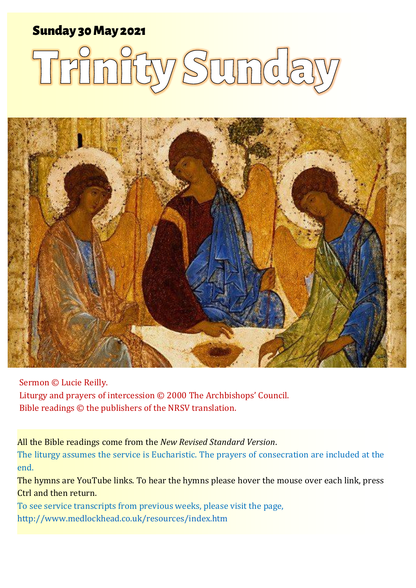### Sunday 30 May 2021 1 **Trinity Sunday** Sunday 30May 2021

# Trinity Sunda



Sermon © Lucie Reilly.

Liturgy and prayers of intercession © 2000 The Archbishops' Council. Bible readings © the publishers of the NRSV translation.

All the Bible readings come from the *New Revised Standard Version*.

The liturgy assumes the service is Eucharistic. The prayers of consecration are included at the end.

The hymns are YouTube links. To hear the hymns please hover the mouse over each link, press Ctrl and then return.

To see service transcripts from previous weeks, please visit the page, <http://www.medlockhead.co.uk/resources/index.htm>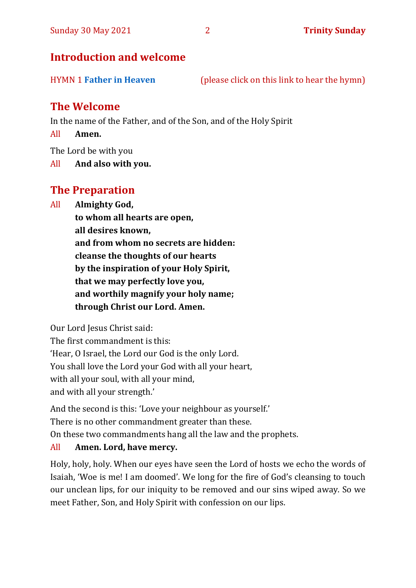#### **Introduction and welcome**

| <b>HYMN 1 Father in Heaven</b> | (please click on this link to hear the hymn) |  |
|--------------------------------|----------------------------------------------|--|
|                                |                                              |  |

#### **The Welcome**

In the name of the Father, and of the Son, and of the Holy Spirit

All **Amen.**

The Lord be with you

All **And also with you.**

#### **The Preparation**

All **Almighty God,**

**to whom all hearts are open, all desires known, and from whom no secrets are hidden: cleanse the thoughts of our hearts by the inspiration of your Holy Spirit, that we may perfectly love you, and worthily magnify your holy name; through Christ our Lord. Amen.**

Our Lord Jesus Christ said:

The first commandment is this: 'Hear, O Israel, the Lord our God is the only Lord. You shall love the Lord your God with all your heart, with all your soul, with all your mind, and with all your strength.'

And the second is this: 'Love your neighbour as yourself.'

There is no other commandment greater than these.

On these two commandments hang all the law and the prophets.

#### All **Amen. Lord, have mercy.**

Holy, holy, holy. When our eyes have seen the Lord of hosts we echo the words of Isaiah, 'Woe is me! I am doomed'. We long for the fire of God's cleansing to touch our unclean lips, for our iniquity to be removed and our sins wiped away. So we meet Father, Son, and Holy Spirit with confession on our lips.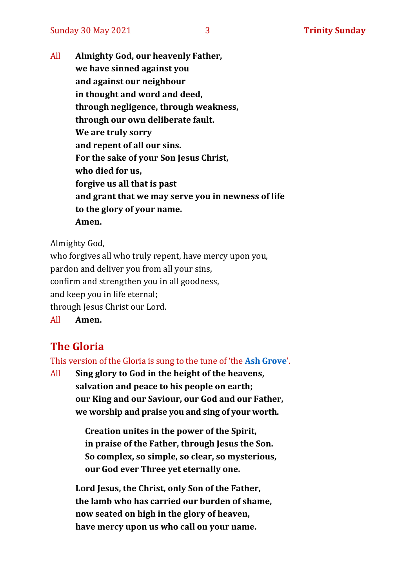All **Almighty God, our heavenly Father, we have sinned against you and against our neighbour in thought and word and deed, through negligence, through weakness, through our own deliberate fault. We are truly sorry and repent of all our sins. For the sake of your Son Jesus Christ, who died for us, forgive us all that is past and grant that we may serve you in newness of life to the glory of your name. Amen.**

Almighty God,

who forgives all who truly repent, have mercy upon you, pardon and deliver you from all your sins, confirm and strengthen you in all goodness, and keep you in life eternal; through Jesus Christ our Lord. All **Amen.**

**The Gloria** 

## This version of the Gloria is sung to the tune of 'the **[Ash Grove](https://www.youtube.com/watch?v=AgSDwFodHw8)**'.

All **Sing glory to God in the height of the heavens, salvation and peace to his people on earth; our King and our Saviour, our God and our Father, we worship and praise you and sing of your worth.**

> **Creation unites in the power of the Spirit, in praise of the Father, through Jesus the Son. So complex, so simple, so clear, so mysterious, our God ever Three yet eternally one.**

**Lord Jesus, the Christ, only Son of the Father, the lamb who has carried our burden of shame, now seated on high in the glory of heaven, have mercy upon us who call on your name.**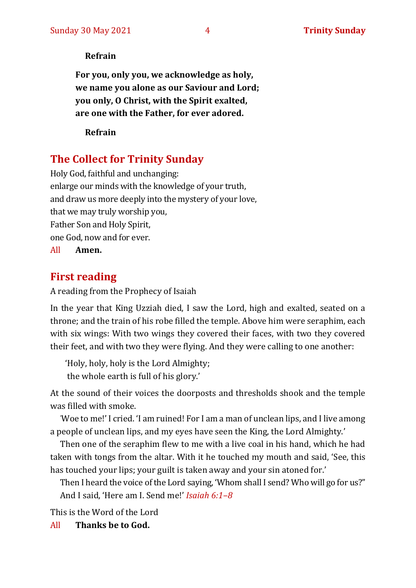#### **Refrain**

**For you, only you, we acknowledge as holy, we name you alone as our Saviour and Lord; you only, O Christ, with the Spirit exalted, are one with the Father, for ever adored.**

**Refrain**

#### **The Collect for Trinity Sunday**

Holy God, faithful and unchanging: enlarge our minds with the knowledge of your truth, and draw us more deeply into the mystery of your love, that we may truly worship you, Father Son and Holy Spirit, one God, now and for ever. All **Amen.**

#### **First reading**

A reading from the Prophecy of Isaiah

In the year that King Uzziah died, I saw the Lord, high and exalted, seated on a throne; and the train of his robe filled the temple. Above him were seraphim, each with six wings: With two wings they covered their faces, with two they covered their feet, and with two they were flying. And they were calling to one another:

'Holy, holy, holy is the Lord Almighty; the whole earth is full of his glory.'

At the sound of their voices the doorposts and thresholds shook and the temple was filled with smoke.

'Woe to me!' I cried. 'I am ruined! For I am a man of unclean lips, and I live among a people of unclean lips, and my eyes have seen the King, the Lord Almighty.'

Then one of the seraphim flew to me with a live coal in his hand, which he had taken with tongs from the altar. With it he touched my mouth and said, 'See, this has touched your lips; your guilt is taken away and your sin atoned for.'

Then I heard the voice of the Lord saying, 'Whom shall I send? Who will go for us?" And I said, 'Here am I. Send me!' *Isaiah 6:1–8*

This is the Word of the Lord

All **Thanks be to God.**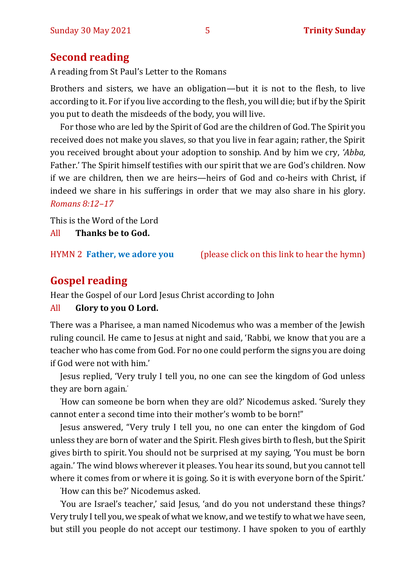#### **Second reading**

A reading from St Paul's Letter to the Romans

Brothers and sisters, we have an obligation—but it is not to the flesh, to live according to it. For if you live according to the flesh, you will die; but if by the Spirit you put to death the misdeeds of the body, you will live.

For those who are led by the Spirit of God are the children of God. The Spirit you received does not make you slaves, so that you live in fear again; rather, the Spirit you received brought about your adoption to sonship. And by him we cry, *'Abba,* Father.' The Spirit himself testifies with our spirit that we are God's children. Now if we are children, then we are heirs—heirs of God and co-heirs with Christ, if indeed we share in his sufferings in order that we may also share in his glory. *Romans 8:12–17*

This is the Word of the Lord

All **Thanks be to God.**

HYMN 2 **[Father, we adore you](https://www.youtube.com/watch?v=9bdid2HFk0c)** (please click on this link to hear the hymn)

#### **Gospel reading**

Hear the Gospel of our Lord Jesus Christ according to John

#### All **Glory to you O Lord.**

There was a Pharisee, a man named Nicodemus who was a member of the Jewish ruling council. He came to Jesus at night and said, 'Rabbi, we know that you are a teacher who has come from God. For no one could perform the signs you are doing if God were not with him.'

Jesus replied, 'Very truly I tell you, no one can see the kingdom of God unless they are born again.'

'How can someone be born when they are old?' Nicodemus asked. 'Surely they cannot enter a second time into their mother's womb to be born!"

Jesus answered, "Very truly I tell you, no one can enter the kingdom of God unless they are born of water and the Spirit. Flesh gives birth to flesh, but the Spirit gives birth to spirit. You should not be surprised at my saying, 'You must be born again.' The wind blows wherever it pleases. You hear its sound, but you cannot tell where it comes from or where it is going. So it is with everyone born of the Spirit.'

'How can this be?' Nicodemus asked.

'You are Israel's teacher,' said Jesus, 'and do you not understand these things? Very truly I tell you, we speak of what we know, and we testify to what we have seen, but still you people do not accept our testimony. I have spoken to you of earthly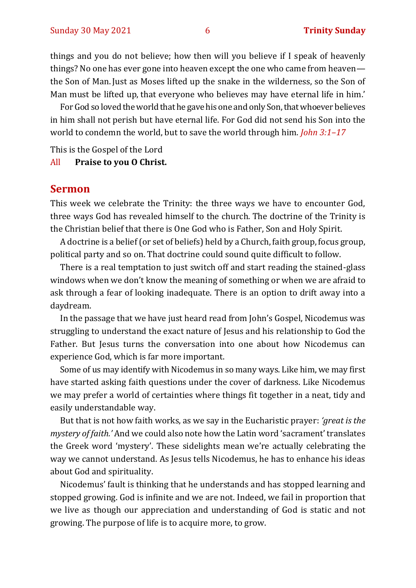things and you do not believe; how then will you believe if I speak of heavenly things? No one has ever gone into heaven except the one who came from heaven the Son of Man. Just as Moses lifted up the snake in the wilderness, so the Son of Man must be lifted up, that everyone who believes may have eternal life in him.'

For God so loved the world that he gave his one and only Son, that whoever believes in him shall not perish but have eternal life. For God did not send his Son into the world to condemn the world, but to save the world through him. *John 3:1–17* 

This is the Gospel of the Lord

All **Praise to you O Christ.** 

#### **Sermon**

This week we celebrate the Trinity: the three ways we have to encounter God, three ways God has revealed himself to the church. The doctrine of the Trinity is the Christian belief that there is One God who is Father, Son and Holy Spirit.

A doctrine is a belief (or set of beliefs) held by a Church, faith group, focus group, political party and so on. That doctrine could sound quite difficult to follow.

There is a real temptation to just switch off and start reading the stained-glass windows when we don't know the meaning of something or when we are afraid to ask through a fear of looking inadequate. There is an option to drift away into a daydream.

In the passage that we have just heard read from John's Gospel, Nicodemus was struggling to understand the exact nature of Jesus and his relationship to God the Father. But Jesus turns the conversation into one about how Nicodemus can experience God, which is far more important.

Some of us may identify with Nicodemus in so many ways. Like him, we may first have started asking faith questions under the cover of darkness. Like Nicodemus we may prefer a world of certainties where things fit together in a neat, tidy and easily understandable way.

But that is not how faith works, as we say in the Eucharistic prayer: *'great is the mystery of faith.'* And we could also note how the Latin word 'sacrament' translates the Greek word 'mystery'. These sidelights mean we're actually celebrating the way we cannot understand. As Jesus tells Nicodemus, he has to enhance his ideas about God and spirituality.

Nicodemus' fault is thinking that he understands and has stopped learning and stopped growing. God is infinite and we are not. Indeed, we fail in proportion that we live as though our appreciation and understanding of God is static and not growing. The purpose of life is to acquire more, to grow.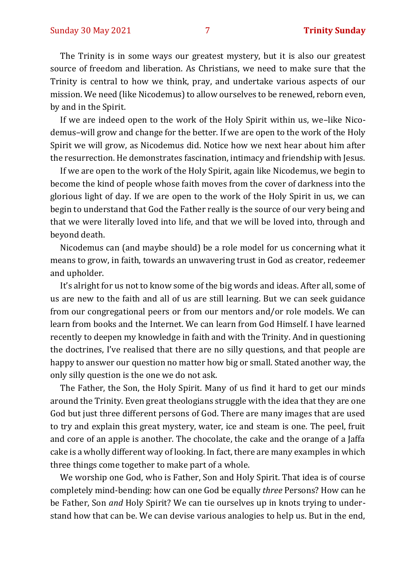The Trinity is in some ways our greatest mystery, but it is also our greatest source of freedom and liberation. As Christians, we need to make sure that the Trinity is central to how we think, pray, and undertake various aspects of our mission. We need (like Nicodemus) to allow ourselves to be renewed, reborn even, by and in the Spirit.

If we are indeed open to the work of the Holy Spirit within us, we–like Nicodemus–will grow and change for the better. If we are open to the work of the Holy Spirit we will grow, as Nicodemus did. Notice how we next hear about him after the resurrection. He demonstrates fascination, intimacy and friendship with Jesus.

If we are open to the work of the Holy Spirit, again like Nicodemus, we begin to become the kind of people whose faith moves from the cover of darkness into the glorious light of day. If we are open to the work of the Holy Spirit in us, we can begin to understand that God the Father really is the source of our very being and that we were literally loved into life, and that we will be loved into, through and beyond death.

Nicodemus can (and maybe should) be a role model for us concerning what it means to grow, in faith, towards an unwavering trust in God as creator, redeemer and upholder.

It's alright for us not to know some of the big words and ideas. After all, some of us are new to the faith and all of us are still learning. But we can seek guidance from our congregational peers or from our mentors and/or role models. We can learn from books and the Internet. We can learn from God Himself. I have learned recently to deepen my knowledge in faith and with the Trinity. And in questioning the doctrines, I've realised that there are no silly questions, and that people are happy to answer our question no matter how big or small. Stated another way, the only silly question is the one we do not ask.

The Father, the Son, the Holy Spirit. Many of us find it hard to get our minds around the Trinity. Even great theologians struggle with the idea that they are one God but just three different persons of God. There are many images that are used to try and explain this great mystery, water, ice and steam is one. The peel, fruit and core of an apple is another. The chocolate, the cake and the orange of a Jaffa cake is a wholly different way of looking. In fact, there are many examples in which three things come together to make part of a whole.

We worship one God, who is Father, Son and Holy Spirit. That idea is of course completely mind-bending: how can one God be equally *three* Persons? How can he be Father, Son *and* Holy Spirit? We can tie ourselves up in knots trying to understand how that can be. We can devise various analogies to help us. But in the end,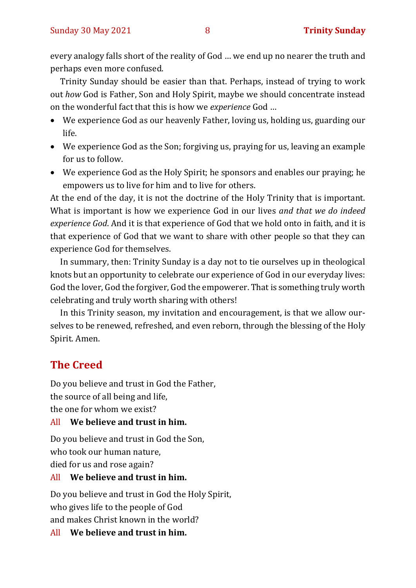every analogy falls short of the reality of God … we end up no nearer the truth and perhaps even more confused.

Trinity Sunday should be easier than that. Perhaps, instead of trying to work out *how* God is Father, Son and Holy Spirit, maybe we should concentrate instead on the wonderful fact that this is how we *experience* God …

- We experience God as our heavenly Father, loving us, holding us, guarding our life.
- We experience God as the Son; forgiving us, praying for us, leaving an example for us to follow.
- We experience God as the Holy Spirit; he sponsors and enables our praying; he empowers us to live for him and to live for others.

At the end of the day, it is not the doctrine of the Holy Trinity that is important. What is important is how we experience God in our lives *and that we do indeed experience God*. And it is that experience of God that we hold onto in faith, and it is that experience of God that we want to share with other people so that they can experience God for themselves.

In summary, then: Trinity Sunday is a day not to tie ourselves up in theological knots but an opportunity to celebrate our experience of God in our everyday lives: God the lover, God the forgiver, God the empowerer. That is something truly worth celebrating and truly worth sharing with others!

In this Trinity season, my invitation and encouragement, is that we allow ourselves to be renewed, refreshed, and even reborn, through the blessing of the Holy Spirit. Amen.

#### **The Creed**

Do you believe and trust in God the Father, the source of all being and life, the one for whom we exist?

#### All **We believe and trust in him.**

Do you believe and trust in God the Son, who took our human nature, died for us and rose again?

#### All **We believe and trust in him.**

Do you believe and trust in God the Holy Spirit, who gives life to the people of God and makes Christ known in the world?

All **We believe and trust in him.**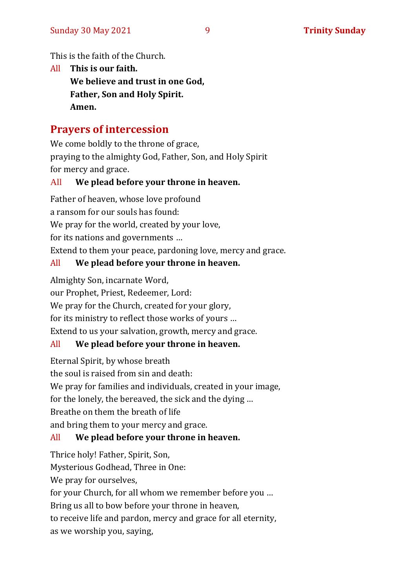This is the faith of the Church.

All **This is our faith. We believe and trust in one God, Father, Son and Holy Spirit. Amen.**

#### **Prayers of intercession**

We come boldly to the throne of grace, praying to the almighty God, Father, Son, and Holy Spirit for mercy and grace.

#### All **We plead before your throne in heaven.**

Father of heaven, whose love profound a ransom for our souls has found: We pray for the world, created by your love, for its nations and governments … Extend to them your peace, pardoning love, mercy and grace.

#### All **We plead before your throne in heaven.**

Almighty Son, incarnate Word,

our Prophet, Priest, Redeemer, Lord:

We pray for the Church, created for your glory,

for its ministry to reflect those works of yours …

Extend to us your salvation, growth, mercy and grace.

#### All **We plead before your throne in heaven.**

Eternal Spirit, by whose breath

the soul is raised from sin and death:

We pray for families and individuals, created in your image,

for the lonely, the bereaved, the sick and the dying …

Breathe on them the breath of life

and bring them to your mercy and grace.

#### All **We plead before your throne in heaven.**

Thrice holy! Father, Spirit, Son,

Mysterious Godhead, Three in One:

We pray for ourselves,

for your Church, for all whom we remember before you …

Bring us all to bow before your throne in heaven,

to receive life and pardon, mercy and grace for all eternity,

as we worship you, saying,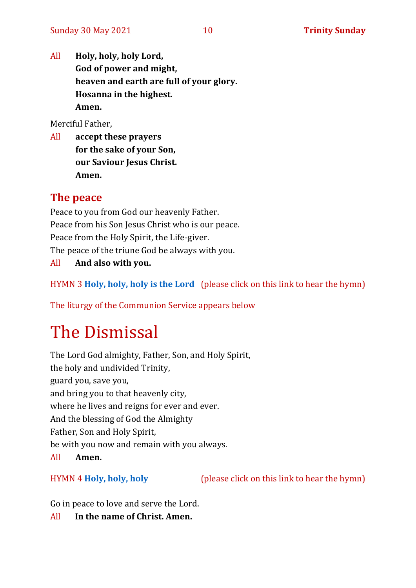All **Holy, holy, holy Lord, God of power and might, heaven and earth are full of your glory. Hosanna in the highest. Amen.**

Merciful Father,

All **accept these prayers for the sake of your Son, our Saviour Jesus Christ. Amen.**

#### **The peace**

Peace to you from God our heavenly Father. Peace from his Son Jesus Christ who is our peace. Peace from the Holy Spirit, the Life-giver. The peace of the triune God be always with you. All **And also with you.**

HYMN 3 **[Holy, holy, holy is the Lord](https://www.youtube.com/watch?v=xmUOnZLv4og)** (please click on this link to hear the hymn)

The liturgy of the Communion Service appears below

# The Dismissal

The Lord God almighty, Father, Son, and Holy Spirit, the holy and undivided Trinity, guard you, save you, and bring you to that heavenly city, where he lives and reigns for ever and ever. And the blessing of God the Almighty Father, Son and Holy Spirit, be with you now and remain with you always. All **Amen.**

HYMN 4 **[Holy, holy, holy](https://www.youtube.com/watch?v=0SHDNs7Dt5M)** (please click on this link to hear the hymn)

Go in peace to love and serve the Lord.

All **In the name of Christ. Amen.**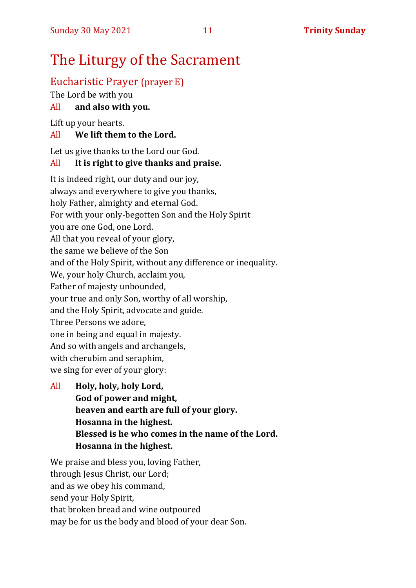# The Liturgy of the Sacrament

#### Eucharistic Prayer (prayer E)

The Lord be with you

#### All **and also with you.**

Lift up your hearts.

#### All **We lift them to the Lord.**

Let us give thanks to the Lord our God.

#### All **It is right to give thanks and praise.**

It is indeed right, our duty and our joy, always and everywhere to give you thanks, holy Father, almighty and eternal God. For with your only-begotten Son and the Holy Spirit you are one God, one Lord. All that you reveal of your glory, the same we believe of the Son and of the Holy Spirit, without any difference or inequality. We, your holy Church, acclaim you, Father of majesty unbounded, your true and only Son, worthy of all worship, and the Holy Spirit, advocate and guide. Three Persons we adore, one in being and equal in majesty. And so with angels and archangels, with cherubim and seraphim, we sing for ever of your glory:

All **Holy, holy, holy Lord, God of power and might, heaven and earth are full of your glory. Hosanna in the highest. Blessed is he who comes in the name of the Lord. Hosanna in the highest.**

We praise and bless you, loving Father, through Jesus Christ, our Lord; and as we obey his command, send your Holy Spirit, that broken bread and wine outpoured may be for us the body and blood of your dear Son.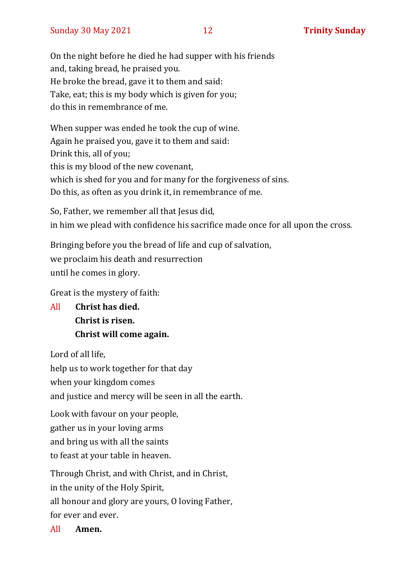On the night before he died he had supper with his friends and, taking bread, he praised you. He broke the bread, gave it to them and said: Take, eat; this is my body which is given for you; do this in remembrance of me.

When supper was ended he took the cup of wine. Again he praised you, gave it to them and said: Drink this, all of you; this is my blood of the new covenant, which is shed for you and for many for the forgiveness of sins. Do this, as often as you drink it, in remembrance of me.

So, Father, we remember all that Jesus did, in him we plead with confidence his sacrifice made once for all upon the cross.

Bringing before you the bread of life and cup of salvation, we proclaim his death and resurrection until he comes in glory.

Great is the mystery of faith:

All **Christ has died. Christ is risen. Christ will come again.**

Lord of all life,

help us to work together for that day

when your kingdom comes

and justice and mercy will be seen in all the earth.

Look with favour on your people, gather us in your loving arms and bring us with all the saints to feast at your table in heaven.

Through Christ, and with Christ, and in Christ, in the unity of the Holy Spirit, all honour and glory are yours, O loving Father, for ever and ever.

All **Amen.**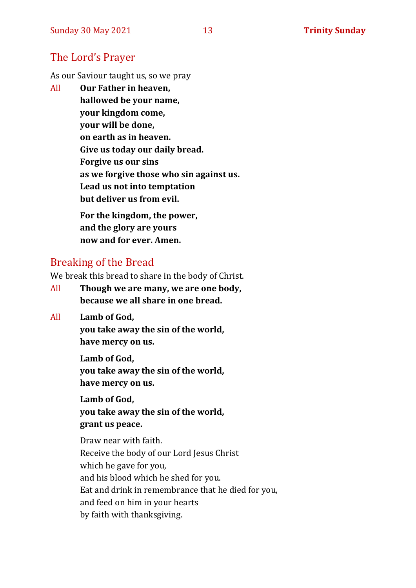#### The Lord's Prayer

As our Saviour taught us, so we pray

All **Our Father in heaven, hallowed be your name, your kingdom come, your will be done, on earth as in heaven. Give us today our daily bread. Forgive us our sins as we forgive those who sin against us. Lead us not into temptation but deliver us from evil. For the kingdom, the power,** 

**and the glory are yours now and for ever. Amen.**

#### Breaking of the Bread

We break this bread to share in the body of Christ.

- All **Though we are many, we are one body, because we all share in one bread.**
- All **Lamb of God,**

**you take away the sin of the world, have mercy on us.**

**Lamb of God, you take away the sin of the world, have mercy on us.**

**Lamb of God, you take away the sin of the world, grant us peace.**

Draw near with faith. Receive the body of our Lord Jesus Christ which he gave for you, and his blood which he shed for you. Eat and drink in remembrance that he died for you, and feed on him in your hearts by faith with thanksgiving.